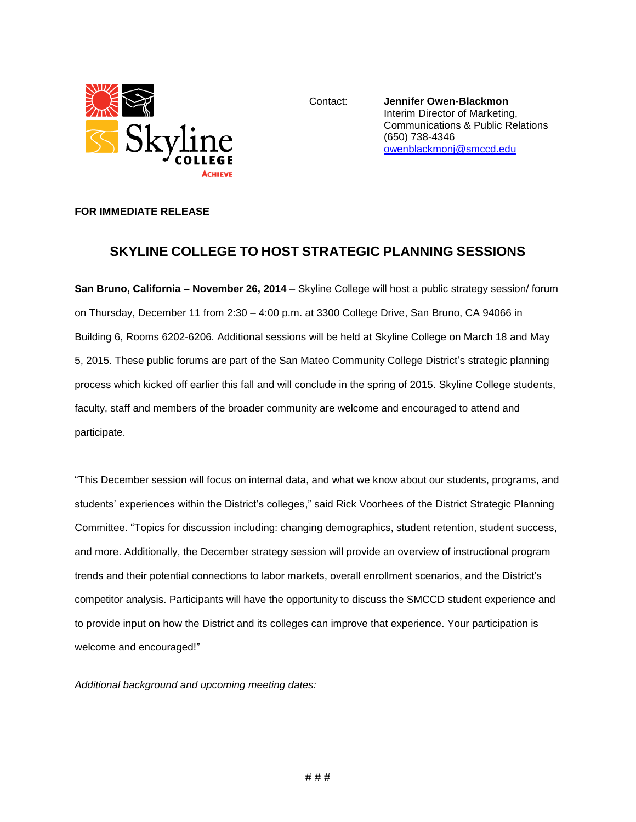

Contact: **Jennifer Owen-Blackmon** Interim Director of Marketing, Communications & Public Relations (650) 738-4346 [owenblackmonj@smccd.edu](mailto:owenblackmonj@smccd.edu)

## **FOR IMMEDIATE RELEASE**

## **SKYLINE COLLEGE TO HOST STRATEGIC PLANNING SESSIONS**

**San Bruno, California – November 26, 2014** – Skyline College will host a public strategy session/ forum on Thursday, December 11 from 2:30 – 4:00 p.m. at 3300 College Drive, San Bruno, CA 94066 in Building 6, Rooms 6202-6206. Additional sessions will be held at Skyline College on March 18 and May 5, 2015. These public forums are part of the San Mateo Community College District's strategic planning process which kicked off earlier this fall and will conclude in the spring of 2015. Skyline College students, faculty, staff and members of the broader community are welcome and encouraged to attend and participate.

"This December session will focus on internal data, and what we know about our students, programs, and students' experiences within the District's colleges," said Rick Voorhees of the District Strategic Planning Committee. "Topics for discussion including: changing demographics, student retention, student success, and more. Additionally, the December strategy session will provide an overview of instructional program trends and their potential connections to labor markets, overall enrollment scenarios, and the District's competitor analysis. Participants will have the opportunity to discuss the SMCCD student experience and to provide input on how the District and its colleges can improve that experience. Your participation is welcome and encouraged!"

*Additional background and upcoming meeting dates:*